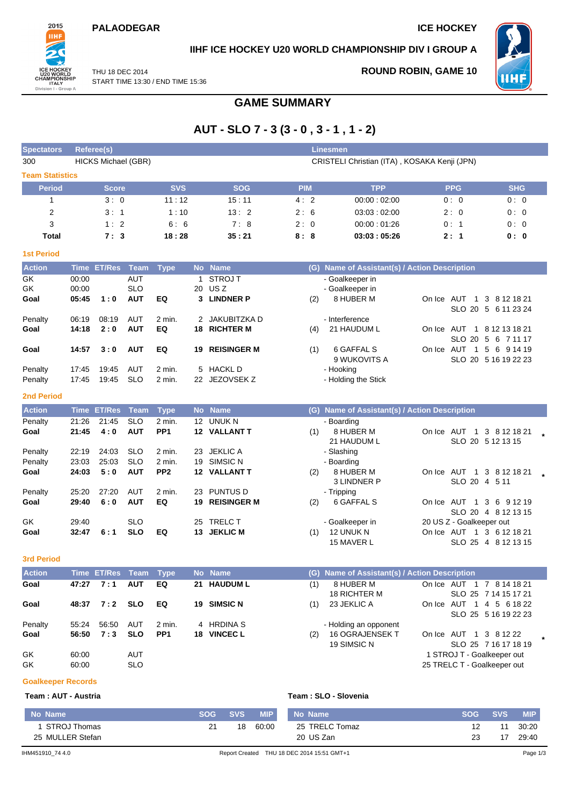#### **PALAODEGAR ICE HOCKEY**



### **IIHF ICE HOCKEY U20 WORLD CHAMPIONSHIP DIV I GROUP A**

THU 18 DEC 2014 START TIME 13:30 / END TIME 15:36 **ROUND ROBIN, GAME 10**



### **GAME SUMMARY**

# **AUT - SLO 7 - 3 (3 - 0 , 3 - 1 , 1 - 2)**

| <b>Spectators</b>      |       | Referee(s)                 |             |                 |    |                    |            | <b>Linesmen</b>                               |                             |                      |
|------------------------|-------|----------------------------|-------------|-----------------|----|--------------------|------------|-----------------------------------------------|-----------------------------|----------------------|
| 300                    |       | <b>HICKS Michael (GBR)</b> |             |                 |    |                    |            | CRISTELI Christian (ITA), KOSAKA Kenji (JPN)  |                             |                      |
| <b>Team Statistics</b> |       |                            |             |                 |    |                    |            |                                               |                             |                      |
| <b>Period</b>          |       | <b>Score</b>               |             | <b>SVS</b>      |    | <b>SOG</b>         | <b>PIM</b> | <b>TPP</b>                                    | <b>PPG</b>                  | <b>SHG</b>           |
| 1                      |       | 3:0                        |             | 11:12           |    | 15:11              | 4:2        | 00:00:02:00                                   | 0:0                         | 0:0                  |
| 2                      |       | 3:1                        |             | 1:10            |    | 13:2               | 2:6        | 03:03:02:00                                   | 2:0                         | 0:0                  |
| 3                      |       | 1:2                        |             | 6:6             |    | 7:8                | 2:0        | 00:00:01:26                                   | 0:1                         | 0:0                  |
| Total                  |       | 7:3                        |             | 18:28           |    | 35:21              | 8:8        | 03:03:05:26                                   | 2:1                         | 0: 0                 |
|                        |       |                            |             |                 |    |                    |            |                                               |                             |                      |
| <b>1st Period</b>      |       |                            |             |                 |    |                    |            |                                               |                             |                      |
| <b>Action</b>          |       | Time ET/Res                | <b>Team</b> | <b>Type</b>     |    | No Name            |            | (G) Name of Assistant(s) / Action Description |                             |                      |
| GK                     | 00:00 |                            | <b>AUT</b>  |                 |    | 1 STROJ T          |            | - Goalkeeper in                               |                             |                      |
| GK                     | 00:00 |                            | <b>SLO</b>  |                 | 20 | US <sub>Z</sub>    |            | - Goalkeeper in                               |                             |                      |
| Goal                   | 05:45 | 1:0                        | <b>AUT</b>  | EQ              | 3  | <b>LINDNER P</b>   | (2)        | 8 HUBER M                                     | On Ice AUT 1 3 8 12 18 21   | SLO 20 5 6 11 23 24  |
| Penalty                | 06:19 | 08:19                      | AUT         | 2 min.          |    | 2 JAKUBITZKA D     |            | - Interference                                |                             |                      |
| Goal                   | 14:18 | 2:0                        | <b>AUT</b>  | EQ              |    | 18 RICHTER M       | (4)        | 21 HAUDUM L                                   | On Ice AUT 1 8 12 13 18 21  |                      |
|                        |       |                            |             |                 |    |                    |            |                                               |                             | SLO 20 5 6 7 11 17   |
| Goal                   | 14:57 | 3:0                        | <b>AUT</b>  | EQ              | 19 | <b>REISINGER M</b> | (1)        | 6 GAFFAL S                                    | On Ice AUT 1 5 6 9 14 19    |                      |
|                        |       |                            |             |                 |    |                    |            | 9 WUKOVITS A                                  |                             | SLO 20 5 16 19 22 23 |
| Penalty                | 17:45 | 19:45                      | AUT         | 2 min.          |    | 5 HACKL D          |            | - Hooking                                     |                             |                      |
| Penalty                | 17:45 | 19:45                      | <b>SLO</b>  | 2 min.          |    | 22 JEZOVSEK Z      |            | - Holding the Stick                           |                             |                      |
| <b>2nd Period</b>      |       |                            |             |                 |    |                    |            |                                               |                             |                      |
| <b>Action</b>          |       | <b>Time ET/Res</b>         | <b>Team</b> | <b>Type</b>     |    | No Name            |            | (G) Name of Assistant(s) / Action Description |                             |                      |
| Penalty                | 21:26 | 21:45                      | <b>SLO</b>  | 2 min.          |    | 12 UNUK N          |            | - Boarding                                    |                             |                      |
| Goal                   | 21:45 | 4:0                        | <b>AUT</b>  | PP <sub>1</sub> |    | 12 VALLANT T       | (1)        | 8 HUBER M                                     | On Ice AUT 1 3 8 12 18 21   |                      |
|                        |       |                            |             |                 |    |                    |            | 21 HAUDUM L                                   | SLO 20 5 12 13 15           |                      |
| Penalty                | 22:19 | 24:03                      | <b>SLO</b>  | 2 min.          |    | 23 JEKLIC A        |            | - Slashing                                    |                             |                      |
| Penalty                | 23:03 | 25:03                      | <b>SLO</b>  | 2 min.          | 19 | SIMSIC N           |            | - Boarding                                    |                             |                      |
| Goal                   | 24:03 | 5:0                        | <b>AUT</b>  | PP <sub>2</sub> |    | 12 VALLANT T       | (2)        | 8 HUBER M                                     | On Ice AUT 1 3 8 12 18 21   |                      |
|                        |       |                            |             |                 |    |                    |            | <b>3 LINDNER P</b>                            | SLO 20 4 5 11               |                      |
| Penalty                | 25:20 | 27:20                      | AUT         | 2 min.          |    | 23 PUNTUS D        |            | - Tripping                                    |                             |                      |
| Goal                   | 29:40 | 6:0                        | <b>AUT</b>  | EQ              | 19 | <b>REISINGER M</b> | (2)        | 6 GAFFAL S                                    | On Ice AUT 1 3 6 9 12 19    |                      |
| GK                     | 29:40 |                            | <b>SLO</b>  |                 |    | 25 TRELC T         |            | - Goalkeeper in                               | 20 US Z - Goalkeeper out    | SLO 20 4 8 12 13 15  |
| Goal                   | 32:47 | 6:1                        | <b>SLO</b>  | EQ              |    | 13 JEKLIC M        | (1)        | 12 UNUK N                                     | On Ice AUT 1 3 6 12 18 21   |                      |
|                        |       |                            |             |                 |    |                    |            | 15 MAVER L                                    |                             | SLO 25 4 8 12 13 15  |
|                        |       |                            |             |                 |    |                    |            |                                               |                             |                      |
| <b>3rd Period</b>      |       |                            |             |                 |    |                    |            |                                               |                             |                      |
| Action                 |       | Time ET/Res Team Type      |             |                 |    | No Name            |            | (G) Name of Assistant(s) / Action Description |                             |                      |
| Goal                   | 47:27 | 7:1                        | <b>AUT</b>  | EQ              | 21 | <b>HAUDUM L</b>    | (1)        | 8 HUBER M                                     | On Ice AUT 1 7 8 14 18 21   |                      |
|                        |       |                            |             |                 |    |                    |            | 18 RICHTER M                                  |                             | SLO 25 7 14 15 17 21 |
| Goal                   | 48:37 | 7:2                        | <b>SLO</b>  | EQ              |    | 19 SIMSIC N        | (1)        | 23 JEKLIC A                                   | On Ice AUT 1 4 5 6 18 22    | SLO 25 5 16 19 22 23 |
| Penalty                | 55:24 | 56:50                      | AUT         | 2 min.          | 4  | <b>HRDINA S</b>    |            | - Holding an opponent                         |                             |                      |
| Goal                   | 56:50 | 7:3                        | <b>SLO</b>  | PP <sub>1</sub> |    | 18 VINCEC L        | (2)        | 16 OGRAJENSEK T                               | On Ice AUT 1 3 8 12 22      |                      |
|                        |       |                            |             |                 |    |                    |            | 19 SIMSIC N                                   |                             | SLO 25 7 16 17 18 19 |
| GK                     | 60:00 |                            | AUT         |                 |    |                    |            |                                               | 1 STROJ T - Goalkeeper out  |                      |
| GK                     | 60:00 |                            | <b>SLO</b>  |                 |    |                    |            |                                               | 25 TRELC T - Goalkeeper out |                      |

#### **Goalkeeper Records**

#### **Team : AUT - Austria Team : SLO - Slovenia**

| Team: SLO - Slovenia |  |  |  |
|----------------------|--|--|--|
|                      |  |  |  |

| 25 MULLER Stefan<br>IHM451910 74 4.0 |                  |                  |                     | 20 US Zan<br>Report Created THU 18 DEC 2014 15:51 GMT+1 | 23               | 17         | 29:40<br>Page 1/3   |  |
|--------------------------------------|------------------|------------------|---------------------|---------------------------------------------------------|------------------|------------|---------------------|--|
| No Name<br>,STROJ Thomas             | <b>SOG</b><br>21 | <b>SVS</b><br>18 | <b>MIP</b><br>60:00 | No Name<br>25 TRELC Tomaz                               | <b>SOG</b><br>12 | <b>SVS</b> | <b>MIP</b><br>30:20 |  |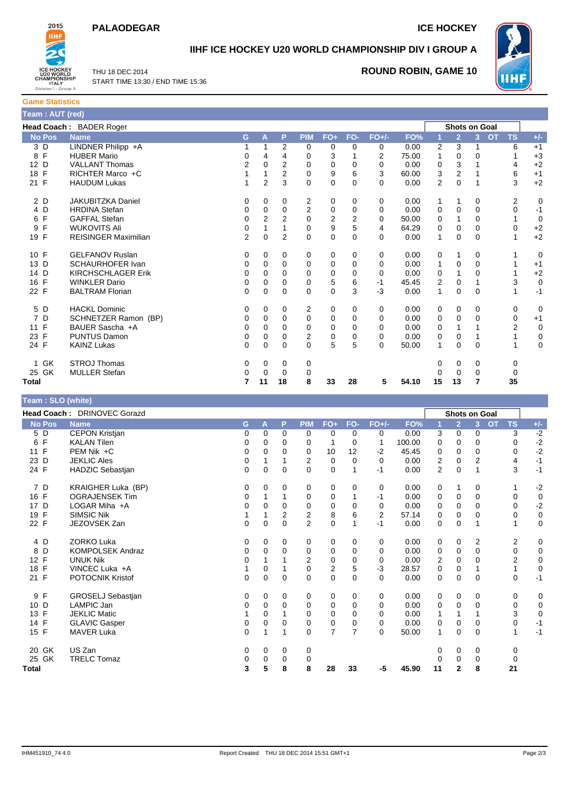### **PALAODEGAR ICE HOCKEY**



## **IIHF ICE HOCKEY U20 WORLD CHAMPIONSHIP DIV I GROUP A**

THU 18 DEC 2014 START TIME 13:30 / END TIME 15:36

### **ROUND ROBIN, GAME 10**



**Game Statistics Team : AUT (red)**

| 19911111119111997   |                             |                |                |                |                |                |              |          |       |                |                      |                |                        |             |
|---------------------|-----------------------------|----------------|----------------|----------------|----------------|----------------|--------------|----------|-------|----------------|----------------------|----------------|------------------------|-------------|
|                     | Head Coach: BADER Roger     |                |                |                |                |                |              |          |       |                | <b>Shots on Goal</b> |                |                        |             |
| <b>No Pos</b>       | <b>Name</b>                 | G.             | A              | P              | <b>PIM</b>     | $FO+$          | FO-          | $FO+/-$  | FO%   |                | $\overline{2}$       | 3 <sup>2</sup> | <b>OT</b><br><b>TS</b> | $+/-$       |
| 3 D                 | LINDNER Philipp +A          |                |                | 2              | 0              | 0              | 0            | 0        | 0.00  | 2              | 3                    |                | 6                      | $+1$        |
| $\mathsf{F}$<br>8   | <b>HUBER Mario</b>          | 0              | 4              | 4              | 0              | 3              |              | 2        | 75.00 |                | 0                    | 0              |                        | $+3$        |
| 12 D                | <b>VALLANT Thomas</b>       | $\overline{2}$ | 0              | 2              | 0              | 0              | $\mathbf 0$  | $\Omega$ | 0.00  | $\mathbf 0$    | 3                    |                | 4                      | $+2$        |
| $\mathsf{F}$<br>18  | RICHTER Marco +C            |                |                | 2              | 0              | 9              | 6            | 3        | 60.00 | 3              | 2                    |                | 6                      | $+1$        |
| 21 F                | <b>HAUDUM Lukas</b>         |                | $\overline{2}$ | 3              | 0              | $\Omega$       | 0            | 0        | 0.00  | $\overline{2}$ | 0                    |                | 3                      | $+2$        |
| 2 D                 | <b>JAKUBITZKA Daniel</b>    | 0              | 0              | 0              | 2              | 0              | 0            | 0        | 0.00  | 1              |                      | 0              | 2                      | 0           |
| 4 D                 | <b>HRDINA Stefan</b>        | 0              | 0              | 0              | $\overline{2}$ | 0              | 0            | 0        | 0.00  | 0              | 0                    | $\mathbf 0$    | 0                      | $-1$        |
| $\mathsf{F}$<br>6   | <b>GAFFAL Stefan</b>        | 0              | 2              | $\overline{2}$ | $\Omega$       | $\overline{2}$ | 2            | $\Omega$ | 50.00 | 0              |                      | $\Omega$       |                        | 0           |
| F<br>9              | <b>WUKOVITS Ali</b>         | 0              |                |                | 0              | 9              | 5            | 4        | 64.29 | 0              | 0                    | 0              | 0                      | $+2$        |
| 19 F                | <b>REISINGER Maximilian</b> | $\overline{2}$ | $\Omega$       | $\overline{2}$ | 0              | $\mathbf 0$    | $\mathbf{0}$ | $\Omega$ | 0.00  | $\mathbf{1}$   | $\Omega$             | $\Omega$       |                        | $+2$        |
| 10 F                | <b>GELFANOV Ruslan</b>      | 0              | 0              | 0              | 0              | 0              | 0            | 0        | 0.00  | 0              | 1                    | 0              |                        | 0           |
| 13 D                | <b>SCHAURHOFER Ivan</b>     | 0              | 0              | 0              | 0              | 0              | 0            | 0        | 0.00  | 1              | 0                    | $\mathbf 0$    |                        | $+1$        |
| 14 D                | <b>KIRCHSCHLAGER Erik</b>   | 0              | 0              | $\Omega$       | $\Omega$       | 0              | 0            | $\Omega$ | 0.00  | 0              |                      | 0              |                        | $+2$        |
| 16 F                | <b>WINKLER Dario</b>        | 0              | 0              | 0              | 0              | 5              | 6            | $-1$     | 45.45 | $\overline{2}$ | 0                    |                | 3                      | $\mathbf 0$ |
| 22 F                | <b>BALTRAM Florian</b>      | 0              | $\Omega$       | $\Omega$       | 0              | 0              | 3            | $-3$     | 0.00  | 1              | $\Omega$             | $\Omega$       |                        | $-1$        |
| 5 D                 | <b>HACKL Dominic</b>        | 0              | 0              | 0              | 2              | 0              | 0            | 0        | 0.00  | 0              | 0                    | 0              | 0                      | 0           |
| $\overline{7}$<br>D | SCHNETZER Ramon (BP)        | 0              | 0              | $\Omega$       | 0              | 0              | 0            | $\Omega$ | 0.00  | 0              | 0                    | $\Omega$       | 0                      | $+1$        |
| F<br>11             | BAUER Sascha +A             | 0              | 0              | $\Omega$       | $\Omega$       | 0              | 0            | $\Omega$ | 0.00  | 0              |                      |                | $\overline{2}$         | $\mathbf 0$ |
| $\mathsf{F}$<br>23  | <b>PUNTUS Damon</b>         | 0              | 0              | 0              | 2              | 0              | 0            | 0        | 0.00  | 0              | 0                    |                |                        | $\mathbf 0$ |
| 24 F                | <b>KAINZ Lukas</b>          | $\Omega$       | $\Omega$       | $\Omega$       | $\Omega$       | 5              | 5            | 0        | 50.00 | 1              | 0                    | $\Omega$       |                        | $\mathbf 0$ |
| GK<br>1.            | <b>STROJ Thomas</b>         | 0              | 0              | 0              | 0              |                |              |          |       | 0              | 0                    | 0              | 0                      |             |
| 25 GK               | <b>MULLER Stefan</b>        | 0              | $\Omega$       | 0              | 0              |                |              |          |       |                | 0                    | 0              | 0                      |             |
| <b>Total</b>        |                             | 7              | 11             | 18             | 8              | 33             | 28           | 5        | 54.10 | 15             | 13                   | 7              | 35                     |             |

| Team : SLO (white) |                             |          |          |          |                |                |                |              |        |                |                      |                |           |                |             |
|--------------------|-----------------------------|----------|----------|----------|----------------|----------------|----------------|--------------|--------|----------------|----------------------|----------------|-----------|----------------|-------------|
|                    | Head Coach: DRINOVEC Gorazd |          |          |          |                |                |                |              |        |                | <b>Shots on Goal</b> |                |           |                |             |
| <b>No Pos</b>      | <b>Name</b>                 | G        | A        | P        | <b>PIM</b>     | $FO+$          | FO-            | $FO+/-$      | FO%    |                | $\overline{2}$       | 3 <sup>1</sup> | <b>OT</b> | <b>TS</b>      | $+/-$       |
| 5 D                | <b>CEPON Kristjan</b>       | 0        | 0        | 0        | $\mathbf 0$    | 0              | 0              | 0            | 0.00   | 3              | $\mathbf 0$          | 0              |           | 3              | $-2$        |
| $\mathsf{F}$<br>6  | <b>KALAN Tilen</b>          | 0        | $\Omega$ | $\Omega$ | 0              | 1              | 0              | $\mathbf{1}$ | 100.00 | 0              | 0                    | $\Omega$       |           | $\Omega$       | $-2$        |
| 11 F               | $PEM Nik + C$               | 0        | 0        | 0        | 0              | 10             | 12             | $-2$         | 45.45  | 0              | 0                    | 0              |           | 0              | $-2$        |
| D<br>23            | <b>JEKLIC Ales</b>          | 0        |          |          | 2              | 0              | $\Omega$       | 0            | 0.00   | 2              | 0                    | 2              |           | 4              | $-1$        |
| 24 F               | HADZIC Sebastjan            | 0        | 0        | $\Omega$ | $\Omega$       | $\mathbf 0$    | 1              | -1           | 0.00   | $\overline{2}$ | $\Omega$             | 1              |           | 3              | $-1$        |
| 7 D                | KRAIGHER Luka (BP)          | 0        | 0        | 0        | 0              | 0              | 0              | 0            | 0.00   | 0              | 1                    | 0              |           |                | $-2$        |
| 16 F               | <b>OGRAJENSEK Tim</b>       | 0        |          |          | 0              | 0              |                | -1           | 0.00   | 0              | 0                    | $\Omega$       |           | 0              | $\mathbf 0$ |
| 17 D               | LOGAR Miha $+A$             | 0        | 0        | 0        | 0              | 0              | 0              | 0            | 0.00   | $\Omega$       | 0                    | $\Omega$       |           | $\Omega$       | $-2$        |
| 19 F               | <b>SIMSIC Nik</b>           |          |          | 2        | $\overline{2}$ | 8              | 6              | 2            | 57.14  | 0              | 0                    | 0              |           | 0              | $\pmb{0}$   |
| 22 F               | JEZOVSEK Zan                | 0        | 0        | 0        | $\overline{2}$ | $\mathbf 0$    |                | $-1$         | 0.00   | 0              | 0                    |                |           |                | $\mathbf 0$ |
| 4 D                | <b>ZORKO Luka</b>           | 0        | 0        | 0        | 0              | 0              | 0              | 0            | 0.00   | 0              | $\mathbf 0$          | 2              |           | 2              | 0           |
| D<br>8             | <b>KOMPOLSEK Andraz</b>     | 0        | 0        | 0        | 0              | 0              | 0              | $\Omega$     | 0.00   | 0              | 0                    | $\Omega$       |           | 0              | 0           |
| $\mathsf{F}$<br>12 | <b>UNUK Nik</b>             | 0        |          |          | $\overline{2}$ | $\mathbf 0$    | 0              | 0            | 0.00   | 2              | 0                    | 0              |           | $\overline{2}$ | $\mathbf 0$ |
| $\mathsf{F}$<br>18 | VINCEC Luka +A              |          | 0        |          | 0              | $\overline{2}$ | 5              | $-3$         | 28.57  | 0              | $\mathbf 0$          |                |           |                | $\mathbf 0$ |
| 21 F               | POTOCNIK Kristof            | $\Omega$ | $\Omega$ | $\Omega$ | $\Omega$       | $\Omega$       | $\Omega$       | $\Omega$     | 0.00   | $\Omega$       | $\Omega$             | $\Omega$       |           | $\Omega$       | $-1$        |
| 9 F                | GROSELJ Sebastjan           | 0        | 0        | 0        | 0              | 0              | 0              | 0            | 0.00   | 0              | $\mathbf 0$          | 0              |           | 0              | $\mathbf 0$ |
| D<br>10            | <b>LAMPIC Jan</b>           | 0        | 0        | $\Omega$ | 0              | 0              | 0              | 0            | 0.00   | 0              | 0                    | $\Omega$       |           | 0              | $\mathbf 0$ |
| 13 F               | <b>JEKLIC Matic</b>         |          | 0        |          | 0              | 0              | $\Omega$       | $\Omega$     | 0.00   |                | 1                    |                |           | 3              | $\mathbf 0$ |
| 14 F               | <b>GLAVIC Gasper</b>        | 0        | 0        | 0        | $\mathbf 0$    | 0              | 0              | $\Omega$     | 0.00   | 0              | 0                    | 0              |           | 0              | $-1$        |
| 15 F               | <b>MAVER Luka</b>           | 0        |          |          | $\Omega$       | $\overline{7}$ | $\overline{7}$ | $\Omega$     | 50.00  | 1              | $\mathbf 0$          | $\Omega$       |           | 1              | $-1$        |
| 20 GK              | US Zan                      | 0        | 0        | 0        | 0              |                |                |              |        | 0              | 0                    | 0              |           | 0              |             |
| 25 GK              | <b>TRELC Tomaz</b>          | 0        | 0        | 0        | 0              |                |                |              |        | 0              | 0                    | $\Omega$       |           | 0              |             |
| Total              |                             | 3        | 5        | 8        | 8              | 28             | 33             | -5           | 45.90  | 11             | $\mathbf{2}$         | 8              |           | 21             |             |